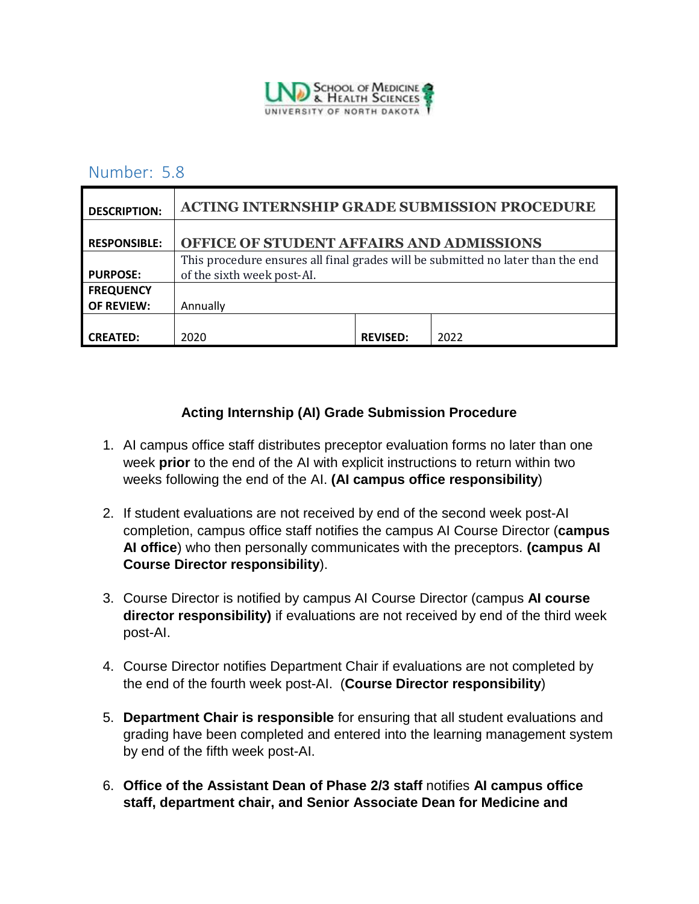

## Number: 5.8

| <b>DESCRIPTION:</b> | <b>ACTING INTERNSHIP GRADE SUBMISSION PROCEDURE</b>                                                           |                 |      |
|---------------------|---------------------------------------------------------------------------------------------------------------|-----------------|------|
| <b>RESPONSIBLE:</b> | OFFICE OF STUDENT AFFAIRS AND ADMISSIONS                                                                      |                 |      |
| <b>PURPOSE:</b>     | This procedure ensures all final grades will be submitted no later than the end<br>of the sixth week post-AI. |                 |      |
| <b>FREQUENCY</b>    |                                                                                                               |                 |      |
| <b>OF REVIEW:</b>   | Annually                                                                                                      |                 |      |
| <b>CREATED:</b>     | 2020                                                                                                          | <b>REVISED:</b> | 2022 |

## **Acting Internship (AI) Grade Submission Procedure**

- 1. AI campus office staff distributes preceptor evaluation forms no later than one week **prior** to the end of the AI with explicit instructions to return within two weeks following the end of the AI. **(AI campus office responsibility**)
- 2. If student evaluations are not received by end of the second week post-AI completion, campus office staff notifies the campus AI Course Director (**campus AI office**) who then personally communicates with the preceptors. **(campus AI Course Director responsibility**).
- 3. Course Director is notified by campus AI Course Director (campus **AI course director responsibility)** if evaluations are not received by end of the third week post-AI.
- 4. Course Director notifies Department Chair if evaluations are not completed by the end of the fourth week post-AI. (**Course Director responsibility**)
- 5. **Department Chair is responsible** for ensuring that all student evaluations and grading have been completed and entered into the learning management system by end of the fifth week post-AI.
- 6. **Office of the Assistant Dean of Phase 2/3 staff** notifies **AI campus office staff, department chair, and Senior Associate Dean for Medicine and**